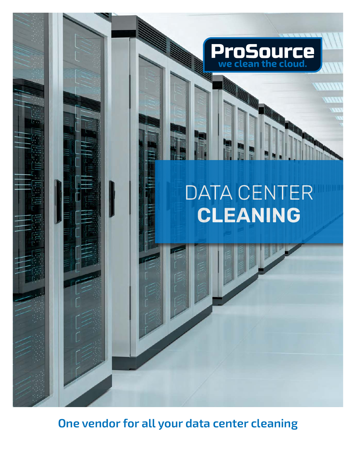

**One vendor for all your data center cleaning**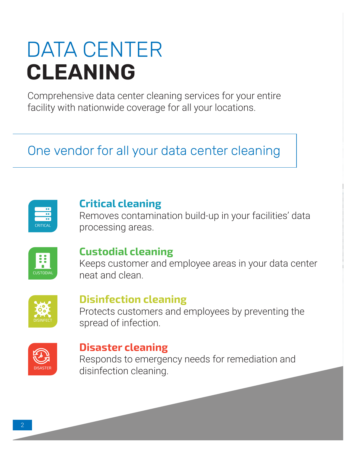# DATA CENTER **CLEANING**

Comprehensive data center cleaning services for your entire facility with nationwide coverage for all your locations.

# One vendor for all your data center cleaning

| <b>CRITICAL</b> |  |
|-----------------|--|

#### **Critical cleaning**

Removes contamination build-up in your facilities' data processing areas.



### **Custodial cleaning**

Keeps customer and employee areas in your data center neat and clean.



#### **Disinfection cleaning**

Protects customers and employees by preventing the spread of infection.



#### **Disaster cleaning**

Responds to emergency needs for remediation and disinfection cleaning.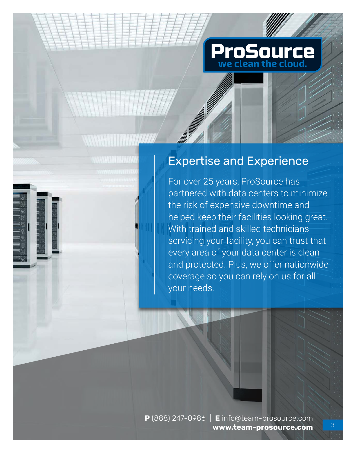

### Expertise and Experience

**ANTALIA ESPECIAL EN 1977** 

For over 25 years, ProSource has partnered with data centers to minimize the risk of expensive downtime and helped keep their facilities looking great. With trained and skilled technicians servicing your facility, you can trust that every area of your data center is clean and protected. Plus, we offer nationwide coverage so you can rely on us for all your needs.

**P** (888) 247-0986 | **E** info@team-prosource.com **www.team-prosource.com**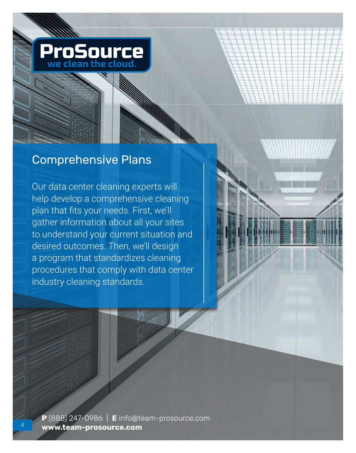

### Comprehensive Plans

Our data center cleaning experts will help develop a comprehensive cleaning plan that fits your needs. First, we'll gather information about all your sites to understand your current situation and desired outcomes. Then, we'll design a program that standardizes cleaning procedures that comply with data center industry cleaning standards.

**P** (888) 247-0986 | **E** info@team-prosource.com **www.team-prosource.com**

4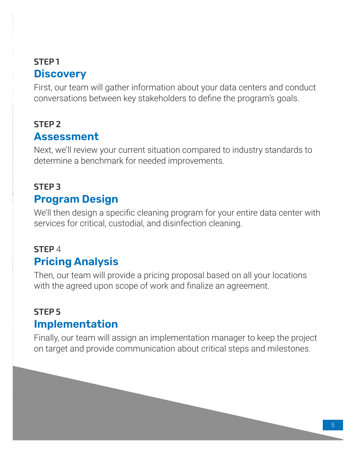## **STEP 1 Discovery**

First, our team will gather information about your data centers and conduct conversations between key stakeholders to define the program's goals.

## **STEP 2 Assessment**

Next, we'll review your current situation compared to industry standards to determine a benchmark for needed improvements.

## **STEP 3 Program Design**

We'll then design a specific cleaning program for your entire data center with services for critical, custodial, and disinfection cleaning.

## **STEP** 4 **Pricing Analysis**

Then, our team will provide a pricing proposal based on all your locations with the agreed upon scope of work and finalize an agreement.

## **STEP 5 Implementation**

Finally, our team will assign an implementation manager to keep the project on target and provide communication about critical steps and milestones.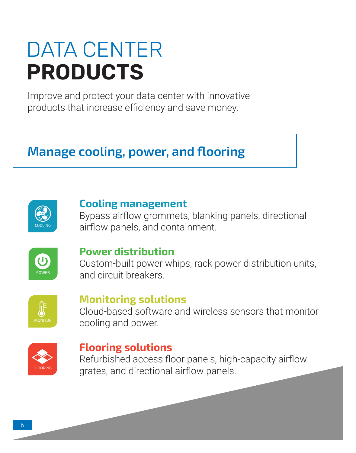# DATA CENTER **PRODUCTS**

Improve and protect your data center with innovative products that increase efficiency and save money.

## **Manage cooling, power, and flooring**



#### **Cooling management**

Bypass airflow grommets, blanking panels, directional airflow panels, and containment.



#### **Power distribution**

Custom-built power whips, rack power distribution units, and circuit breakers.



#### **Monitoring solutions**

Cloud-based software and wireless sensors that monitor cooling and power.



#### **Flooring solutions**

Refurbished access floor panels, high-capacity airflow grates, and directional airflow panels.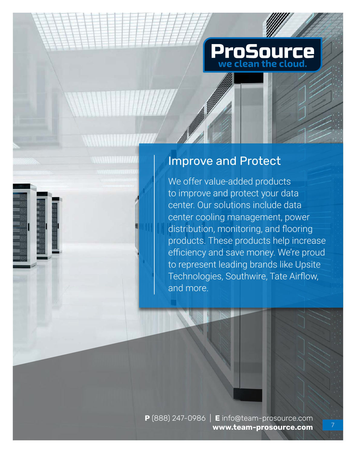

### Improve and Protect

WWW. THE CAR

We offer value-added products to improve and protect your data center. Our solutions include data center cooling management, power distribution, monitoring, and flooring products. These products help increase efficiency and save money. We're proud to represent leading brands like Upsite Technologies, Southwire, Tate Airflow, and more.

**P** (888) 247-0986 | **E** info@team-prosource.com **www.team-prosource.com**

7